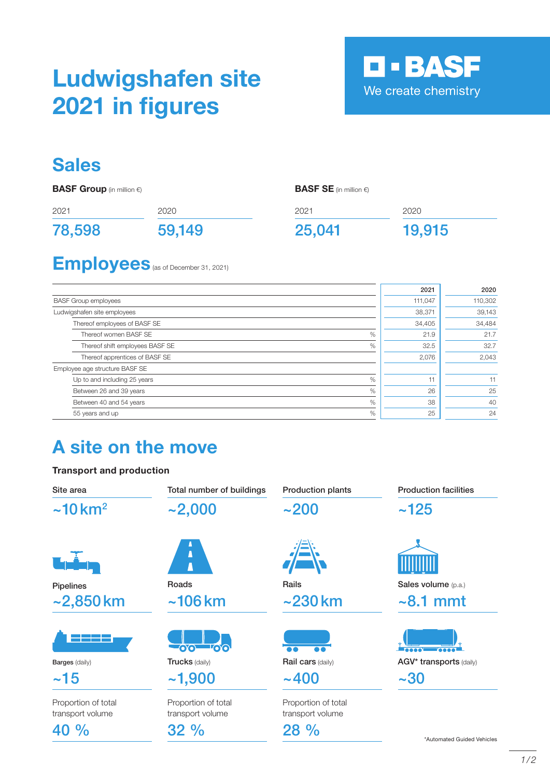# Ludwigshafen site 2021 in figures



2020

19,915

### **Sales**

**BASF Group** (in million €)

BASF SE (in million €)

2021

25,041

| 2021   | 2020   |
|--------|--------|
| 78,598 | 59,149 |

## Employees (as of December 31, 2021)

|                                         | 2021    | 2020    |
|-----------------------------------------|---------|---------|
| <b>BASF Group employees</b>             | 111,047 | 110,302 |
| Ludwigshafen site employees             | 38,371  | 39,143  |
| Thereof employees of BASF SE            | 34,405  | 34,484  |
| Thereof women BASF SE<br>$\%$           | 21.9    | 21.7    |
| $\%$<br>Thereof shift employees BASF SE | 32.5    | 32.7    |
| Thereof apprentices of BASF SE          | 2,076   | 2,043   |
| Employee age structure BASF SE          |         |         |
| $\%$<br>Up to and including 25 years    | 11      | 11      |
| %<br>Between 26 and 39 years            | 26      | 25      |
| %<br>Between 40 and 54 years            | 38      | 40      |
| %<br>55 years and up                    | 25      | 24      |

## A site on the move

### Transport and production

| Site area                               | Total number of buildings               | <b>Production plants</b>                | <b>Production facilities</b> |  |
|-----------------------------------------|-----------------------------------------|-----------------------------------------|------------------------------|--|
| $\sim$ 10 km <sup>2</sup>               | $-2,000$                                | ~1200                                   | ~125                         |  |
|                                         | Δ                                       |                                         |                              |  |
| Pipelines                               | Roads                                   | Rails                                   | Sales volume (p.a.)          |  |
| $-2,850$ km                             | $\sim$ 106 $km$                         | $\sim$ 230 km                           | $\sim$ 8.1 mmt               |  |
|                                         | 00 00                                   |                                         |                              |  |
| <b>Barges (daily)</b>                   | <b>Trucks (daily)</b>                   | Rail cars (daily)                       | AGV* transports (daily)      |  |
| ~15                                     | ~1,900                                  | $~1 - 400$                              | $-30$                        |  |
| Proportion of total<br>transport volume | Proportion of total<br>transport volume | Proportion of total<br>transport volume |                              |  |
| 40 %                                    | 32%                                     | $28\%$                                  | *Automated Guided Vehicles   |  |